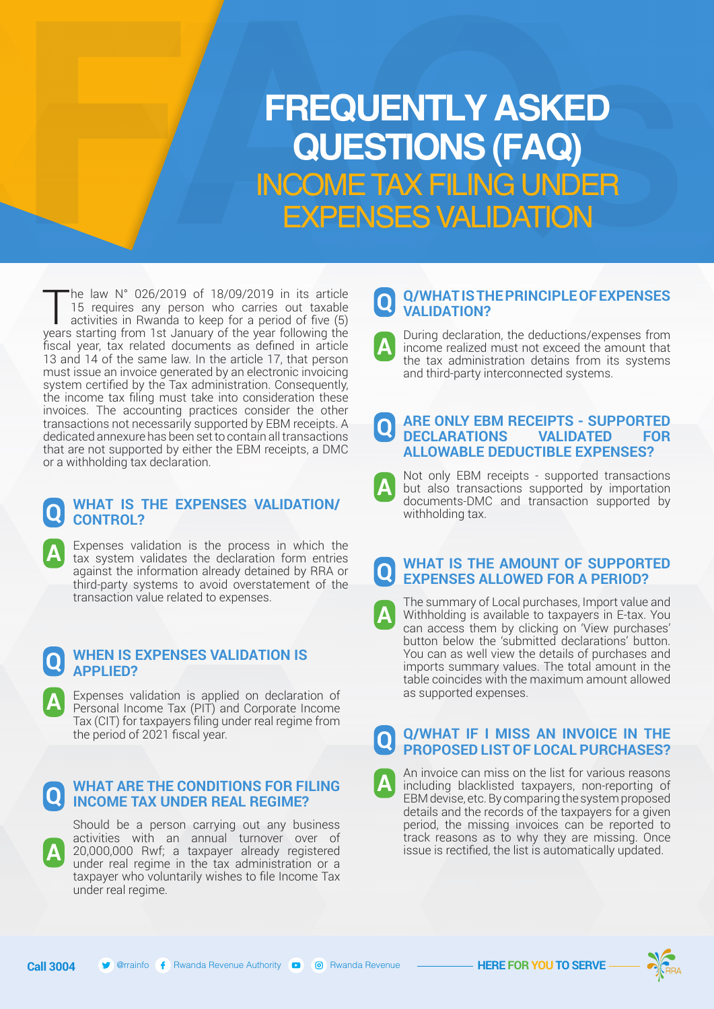# INCOME TAX FILING UNDER EXPENSES VALIDATION **FREQUENTLY ASKED QUESTIONS (FAQ)**

The law N° 026/2019 of 18/09/2019 in its article<br>15 requires any person who carries out taxable<br>activities in Rwanda to keep for a period of five (5)<br>vears starting from 1st January of the year following the 15 requires any person who carries out taxable years starting from 1st January of the year following the fiscal year, tax related documents as defined in article 13 and 14 of the same law. In the article 17, that person must issue an invoice generated by an electronic invoicing system certified by the Tax administration. Consequently, the income tax filing must take into consideration these invoices. The accounting practices consider the other transactions not necessarily supported by EBM receipts. A dedicated annexure has been set to contain all transactions that are not supported by either the EBM receipts, a DMC or a withholding tax declaration.

#### **Q WHAT IS THE EXPENSES VALIDATION/ CONTROL?**

Expenses validation is the process in which the tax system validates the declaration form entries against the information already detained by RRA or third-party systems to avoid overstatement of the transaction value related to expenses.

#### **Q WHEN IS EXPENSES VALIDATION IS APPLIED?**

**A**

**A**

**A**

Expenses validation is applied on declaration of Personal Income Tax (PIT) and Corporate Income Tax (CIT) for taxpayers filing under real regime from the period of 2021 fiscal year.

#### **Q WHAT ARE THE CONDITIONS FOR FILING INCOME TAX UNDER REAL REGIME?**

Should be a person carrying out any business activities with an annual turnover over of 20,000,000 Rwf; a taxpayer already registered under real regime in the tax administration or a taxpayer who voluntarily wishes to file Income Tax under real regime.

**Call 3004** @rrainfo Rwanda Revenue Authority Rwanda Revenue **HERE FOR YOU TO SERVE**

**A**

#### **Q Q/WHAT IS THE PRINCIPLE OF EXPENSES VALIDATION?**

**A** During declaration, the deductions/expenses from income realized must not exceed the amount that the tax administration detains from its systems and third-party interconnected systems.

#### **Q ARE ONLY EBM RECEIPTS - SUPPORTED DECLARATIONS VALIDATED FOR ALLOWABLE DEDUCTIBLE EXPENSES?**

**A** Not only EBM receipts - supported transactions but also transactions supported by importation documents-DMC and transaction supported by withholding tax.

#### **Q WHAT IS THE AMOUNT OF SUPPORTED EXPENSES ALLOWED FOR A PERIOD?**

**A** The summary of Local purchases, Import value and Withholding is available to taxpayers in E-tax. You can access them by clicking on 'View purchases' button below the 'submitted declarations' button. You can as well view the details of purchases and imports summary values. The total amount in the table coincides with the maximum amount allowed as supported expenses.

**Q Q/WHAT IF I MISS AN INVOICE IN THE PROPOSED LIST OF LOCAL PURCHASES?** 

An invoice can miss on the list for various reasons including blacklisted taxpayers, non-reporting of EBM devise, etc. By comparing the system proposed details and the records of the taxpayers for a given period, the missing invoices can be reported to track reasons as to why they are missing. Once issue is rectified, the list is automatically updated.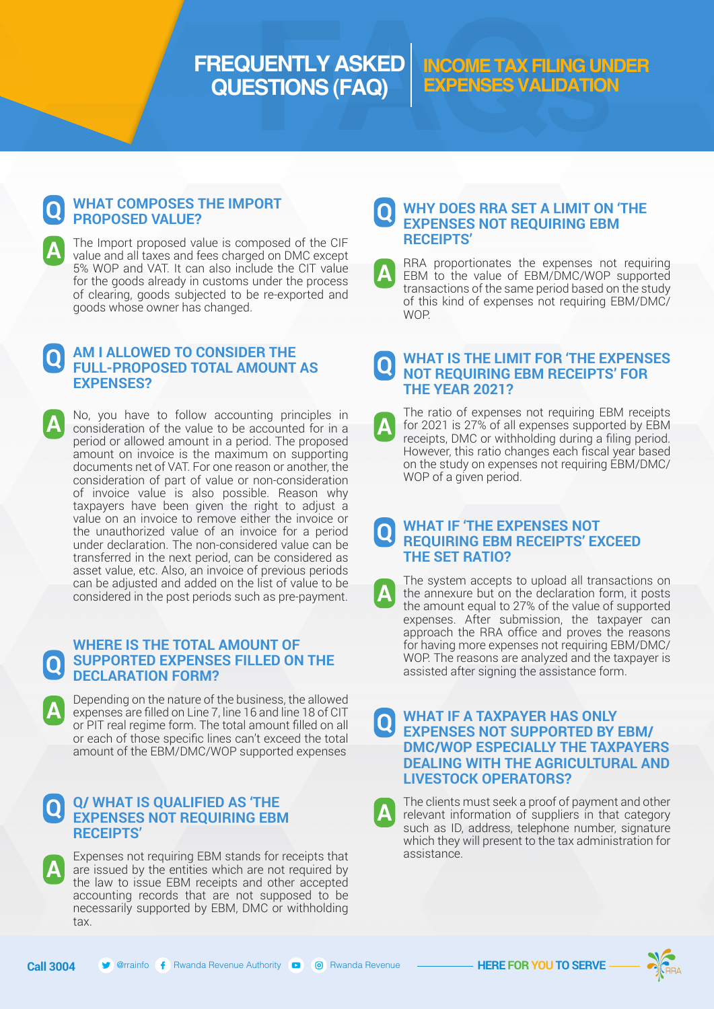# **FREQUENTLY ASKED QUESTIONS (FAQ)**

### **INCOME TAX FILING UNDER EXPENSES VALIDATION**

#### **Q WHAT COMPOSES THE IMPORT PROPOSED VALUE?**

**A**

The Import proposed value is composed of the CIF value and all taxes and fees charged on DMC except 5% WOP and VAT. It can also include the CIT value for the goods already in customs under the process of clearing, goods subjected to be re-exported and goods whose owner has changed.

#### **Q AM I ALLOWED TO CONSIDER THE FULL-PROPOSED TOTAL AMOUNT AS EXPENSES?**

**A** No, you have to follow accounting principles in consideration of the value to be accounted for in a period or allowed amount in a period. The proposed amount on invoice is the maximum on supporting documents net of VAT. For one reason or another, the consideration of part of value or non-consideration of invoice value is also possible. Reason why taxpayers have been given the right to adjust a value on an invoice to remove either the invoice or the unauthorized value of an invoice for a period under declaration. The non-considered value can be transferred in the next period, can be considered as asset value, etc. Also, an invoice of previous periods can be adjusted and added on the list of value to be considered in the post periods such as pre-payment.

#### **Q WHERE IS THE TOTAL AMOUNT OF SUPPORTED EXPENSES FILLED ON THE DECLARATION FORM?**

Depending on the nature of the business, the allowed expenses are filled on Line 7, line 16 and line 18 of CIT or PIT real regime form. The total amount filled on all or each of those specific lines can't exceed the total amount of the EBM/DMC/WOP supported expenses

#### **Q Q/ WHAT IS QUALIFIED AS 'THE EXPENSES NOT REQUIRING EBM RECEIPTS'**

Expenses not requiring EBM stands for receipts that are issued by the entities which are not required by the law to issue EBM receipts and other accepted accounting records that are not supposed to be necessarily supported by EBM, DMC or withholding tax.

#### **Q WHY DOES RRA SET A LIMIT ON 'THE EXPENSES NOT REQUIRING EBM RECEIPTS'**

**A** RRA proportionates the expenses not requiring EBM to the value of EBM/DMC/WOP supported transactions of the same period based on the study of this kind of expenses not requiring EBM/DMC/ WOP.

#### **Q WHAT IS THE LIMIT FOR 'THE EXPENSES NOT REQUIRING EBM RECEIPTS' FOR THE YEAR 2021?**

**A** The ratio of expenses not requiring EBM receipts for 2021 is 27% of all expenses supported by EBM receipts, DMC or withholding during a filing period. However, this ratio changes each fiscal year based on the study on expenses not requiring EBM/DMC/ WOP of a given period.

#### **Q WHAT IF 'THE EXPENSES NOT REQUIRING EBM RECEIPTS' EXCEED THE SET RATIO?**

The system accepts to upload all transactions on the annexure but on the declaration form, it posts the amount equal to 27% of the value of supported expenses. After submission, the taxpayer can approach the RRA office and proves the reasons for having more expenses not requiring EBM/DMC/ WOP. The reasons are analyzed and the taxpayer is assisted after signing the assistance form.

#### **Q WHAT IF A TAXPAYER HAS ONLY EXPENSES NOT SUPPORTED BY EBM/ DMC/WOP ESPECIALLY THE TAXPAYERS DEALING WITH THE AGRICULTURAL AND LIVESTOCK OPERATORS?**

The clients must seek a proof of payment and other relevant information of suppliers in that category such as ID, address, telephone number, signature which they will present to the tax administration for assistance.



**A**

**A**

**A**

**A**